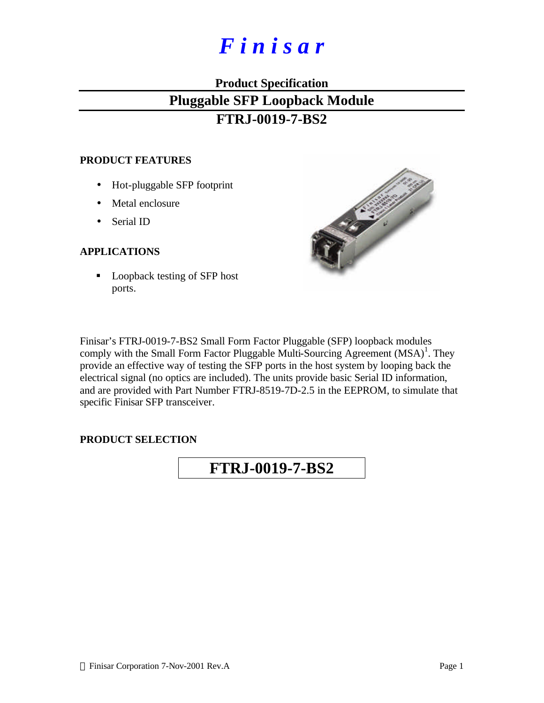# *F i n i s a r*

# **Product Specification Pluggable SFP Loopback Module FTRJ-0019-7-BS2**

#### **PRODUCT FEATURES**

- Hot-pluggable SFP footprint
- Metal enclosure
- Serial ID

### **APPLICATIONS**

■ Loopback testing of SFP host ports.



Finisar's FTRJ-0019-7-BS2 Small Form Factor Pluggable (SFP) loopback modules comply with the Small Form Factor Pluggable Multi-Sourcing Agreement  $(MSA)^1$ . They provide an effective way of testing the SFP ports in the host system by looping back the electrical signal (no optics are included). The units provide basic Serial ID information, and are provided with Part Number FTRJ-8519-7D-2.5 in the EEPROM, to simulate that specific Finisar SFP transceiver.

#### **PRODUCT SELECTION**

# **FTRJ-0019-7-BS2**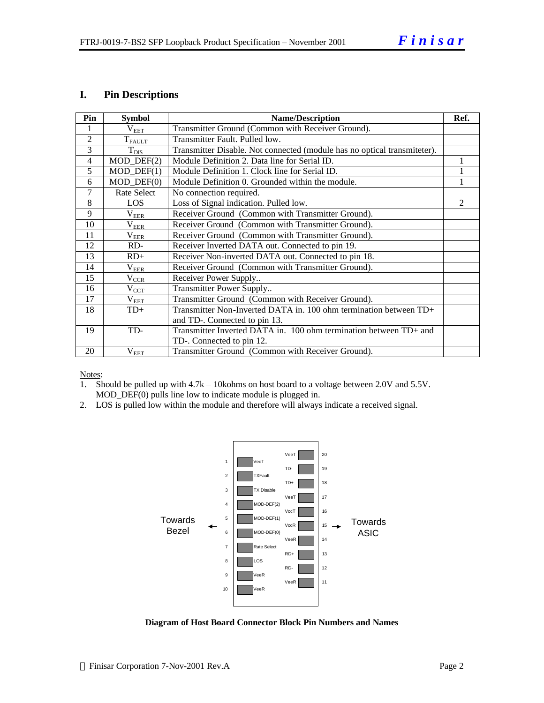# **I. Pin Descriptions**

| Pin            | <b>Symbol</b>               | <b>Name/Description</b>                                                  | Ref.           |
|----------------|-----------------------------|--------------------------------------------------------------------------|----------------|
|                | $\rm V_{EET}$               | Transmitter Ground (Common with Receiver Ground).                        |                |
| $\overline{2}$ | $T_{\rm FAULT}$             | Transmitter Fault. Pulled low.                                           |                |
| 3              | $T_{\rm DIS}$               | Transmitter Disable. Not connected (module has no optical transmiteter). |                |
| $\overline{4}$ | $MOD_$ DEF $(2)$            | Module Definition 2. Data line for Serial ID.                            |                |
| 5              | $MOD_$ <del>DEF</del> $(1)$ | Module Definition 1. Clock line for Serial ID.                           |                |
| 6              | $MOD_$ DEF $(0)$            | Module Definition 0. Grounded within the module.                         |                |
| 7              | Rate Select                 | No connection required.                                                  |                |
| 8              | LOS                         | Loss of Signal indication. Pulled low.                                   | $\mathfrak{D}$ |
| 9              | $\rm V_{EER}$               | Receiver Ground (Common with Transmitter Ground).                        |                |
| 10             | $\rm V_{EER}$               | Receiver Ground (Common with Transmitter Ground).                        |                |
| 11             | $V_{\rm EER}$               | Receiver Ground (Common with Transmitter Ground).                        |                |
| 12             | RD-                         | Receiver Inverted DATA out. Connected to pin 19.                         |                |
| 13             | $RD+$                       | Receiver Non-inverted DATA out. Connected to pin 18.                     |                |
| 14             | $\rm V_{EER}$               | Receiver Ground (Common with Transmitter Ground).                        |                |
| 15             | $V_{CCR}$                   | Receiver Power Supply                                                    |                |
| 16             | $\rm V_{CCT}$               | Transmitter Power Supply                                                 |                |
| 17             | $\rm V_{EET}$               | Transmitter Ground (Common with Receiver Ground).                        |                |
| 18             | $TD+$                       | Transmitter Non-Inverted DATA in. 100 ohm termination between TD+        |                |
|                |                             | and TD-. Connected to pin 13.                                            |                |
| 19             | TD-                         | Transmitter Inverted DATA in. 100 ohm termination between TD+ and        |                |
|                |                             | TD-. Connected to pin 12.                                                |                |
| 20             | $\rm V_{EET}$               | Transmitter Ground (Common with Receiver Ground).                        |                |

Notes:

- 1. Should be pulled up with 4.7k 10kohms on host board to a voltage between 2.0V and 5.5V. MOD\_DEF(0) pulls line low to indicate module is plugged in.
- 2. LOS is pulled low within the module and therefore will always indicate a received signal.



**Diagram of Host Board Connector Block Pin Numbers and Names**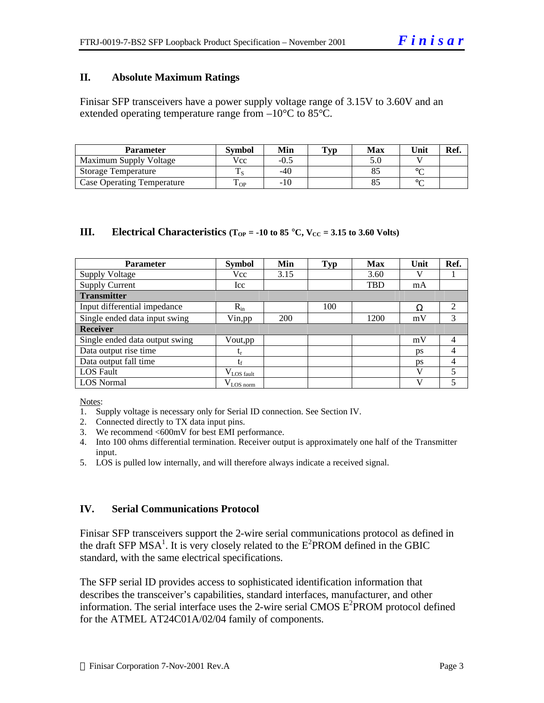#### **II. Absolute Maximum Ratings**

Finisar SFP transceivers have a power supply voltage range of 3.15V to 3.60V and an extended operating temperature range from  $-10^{\circ}$ C to 85 $^{\circ}$ C.

| <b>Parameter</b>                  | Svmbol         | Min   | $\mathbf{T}_{\mathbf{V}\mathbf{p}}$ | Max | Unit | Ref. |
|-----------------------------------|----------------|-------|-------------------------------------|-----|------|------|
| Maximum Supply Voltage            | Vcc            | -0.5  |                                     |     |      |      |
| <b>Storage Temperature</b>        |                | $-40$ |                                     |     |      |      |
| <b>Case Operating Temperature</b> | $\triangle$ OP | -10   |                                     |     |      |      |

#### **III. Electrical Characteristics**  $(T_{OP} = -10 \text{ to } 85 \text{ °C}, V_{CC} = 3.15 \text{ to } 3.60 \text{ Volts})$

| <b>Parameter</b>               | <b>Symbol</b>    | Min  | <b>Typ</b> | <b>Max</b> | Unit | Ref.           |  |
|--------------------------------|------------------|------|------------|------------|------|----------------|--|
| <b>Supply Voltage</b>          | Vcc              | 3.15 |            | 3.60       |      |                |  |
| <b>Supply Current</b>          | Icc              |      |            | <b>TBD</b> | mA   |                |  |
| <b>Transmitter</b>             |                  |      |            |            |      |                |  |
| Input differential impedance   | $R_{in}$         |      | 100        |            | Ω    | 2              |  |
| Single ended data input swing  | Vin, pp          | 200  |            | 1200       | mV   | 3              |  |
| <b>Receiver</b>                |                  |      |            |            |      |                |  |
| Single ended data output swing | Vout, pp         |      |            |            | mV   | 4              |  |
| Data output rise time          | t,               |      |            |            | ps   | 4              |  |
| Data output fall time          | tr               |      |            |            | ps   | $\overline{4}$ |  |
| LOS Fault                      | $V_{LOS\_fault}$ |      |            |            | V    | 5              |  |
| <b>LOS</b> Normal              | $V_{LOS\_norm}$  |      |            |            | V    | 5              |  |

Notes:

1. Supply voltage is necessary only for Serial ID connection. See Section IV.

- 2. Connected directly to TX data input pins.
- 3. We recommend <600mV for best EMI performance.
- 4. Into 100 ohms differential termination. Receiver output is approximately one half of the Transmitter input.
- 5. LOS is pulled low internally, and will therefore always indicate a received signal.

#### **IV. Serial Communications Protocol**

Finisar SFP transceivers support the 2-wire serial communications protocol as defined in the draft SFP MSA<sup>1</sup>. It is very closely related to the  $E^2$ PROM defined in the GBIC standard, with the same electrical specifications.

The SFP serial ID provides access to sophisticated identification information that describes the transceiver's capabilities, standard interfaces, manufacturer, and other information. The serial interface uses the 2-wire serial CMOS  $E^2$ PROM protocol defined for the ATMEL AT24C01A/02/04 family of components.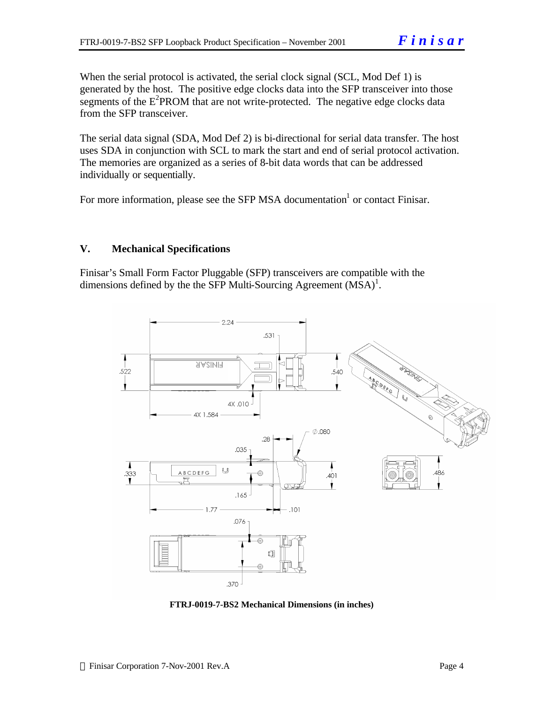When the serial protocol is activated, the serial clock signal (SCL, Mod Def 1) is generated by the host. The positive edge clocks data into the SFP transceiver into those segments of the  $E<sup>2</sup>$ PROM that are not write-protected. The negative edge clocks data from the SFP transceiver.

The serial data signal (SDA, Mod Def 2) is bi-directional for serial data transfer. The host uses SDA in conjunction with SCL to mark the start and end of serial protocol activation. The memories are organized as a series of 8-bit data words that can be addressed individually or sequentially.

For more information, please see the SFP MSA documentation<sup>1</sup> or contact Finisar.

# **V. Mechanical Specifications**

Finisar's Small Form Factor Pluggable (SFP) transceivers are compatible with the dimensions defined by the the SFP Multi-Sourcing Agreement  $(MSA)^{1}$ .



**FTRJ-0019-7-BS2 Mechanical Dimensions (in inches)**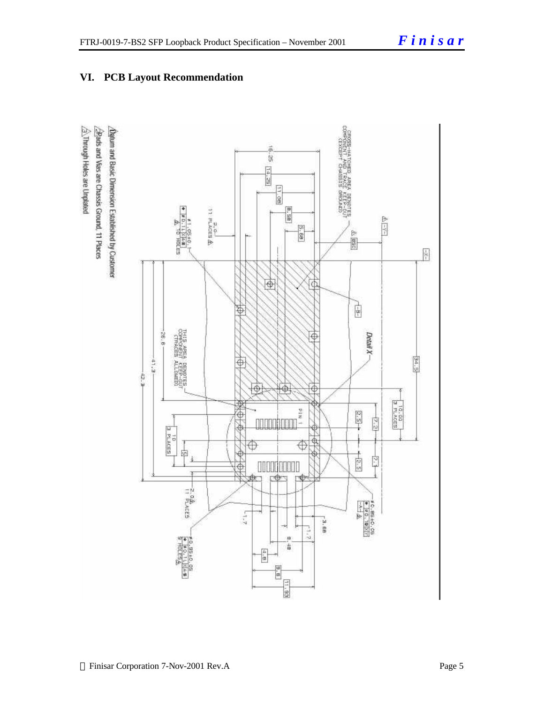

# **VI. PCB Layout Recommendation**

 $\hat{\triangle}$ . Through Holes are Unplated Datum and Basic Dimension Established by Customer Bads and Vias are Chassis Ground, 11 Places

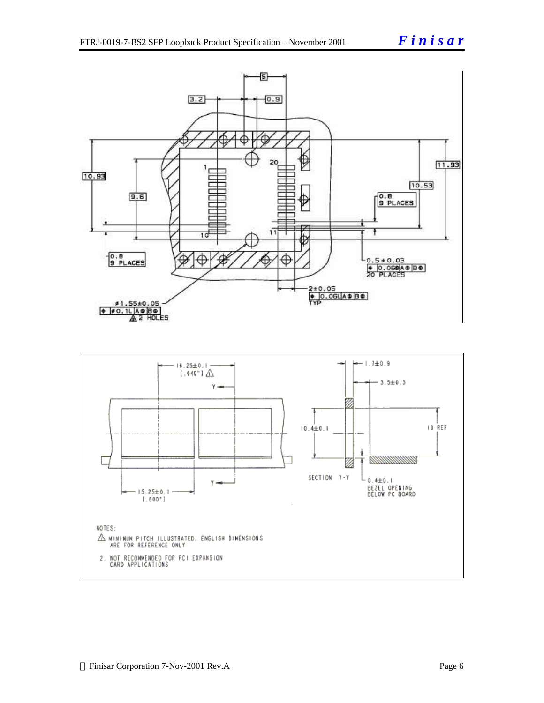